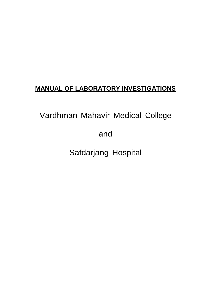# **MANUAL OF LABORATORY INVESTIGATIONS**

Vardhman Mahavir Medical College

and

Safdarjang Hospital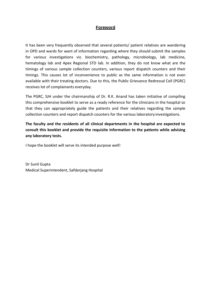# **Foreword**

It has been very frequently observed that several patients/ patient relatives are wandering in OPD and wards for want of information regarding where they should submit the samples for various investigations viz. biochemistry, pathology, microbiology, lab medicine, hematology lab and Apex Regional STD lab. In addition, they do not know what are the timings of various sample collection counters, various report dispatch counters and their timings. This causes lot of inconvenience to public as the same information is not even available with their treating doctors. Due to this, the Public Grievance Redressal Cell (PGRC) receives lot of complainants everyday.

The PGRC, SJH under the chairmanship of Dr. R.K. Anand has taken initiative of compiling this comprehensive booklet to serve as a ready reference for the clinicians in the hospital so that they can appropriately guide the patients and their relatives regarding the sample collection counters and report dispatch counters for the various laboratory investigations.

**The faculty and the residents of all clinical departments in the hospital are expected to consult this booklet and provide the requisite information to the patients while advising any laboratory tests.**

I hope the booklet will serve its intended purpose well!

Dr Sunil Gupta Medical Superintendent, Safdarjang Hospital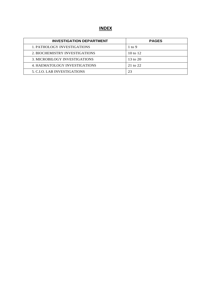# **INDEX**

| <b>INVESTIGATION DEPARTMENT</b>      | <b>PAGES</b>      |
|--------------------------------------|-------------------|
| 1. PATHOLOGY INVESTIGATIONS          | $1 \text{ to } 9$ |
| 2. BIOCHEMISTRY INVESTIGATIONS       | 10 to $12$        |
| <b>3. MICROBILOGY INVESTIGATIONS</b> | 13 to $20$        |
| 4. HAEMATOLOGY INVESTIGATIONS        | 21 to 22          |
| 5. C.I.O. LAB INVESTIGATIONS         | 23                |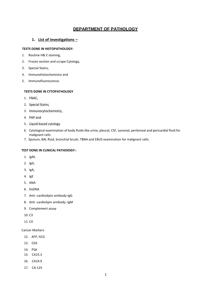# **DEPARTMENT OF PATHOLOGY**

# **1. List of investigations –**

### **TESTS DONE IN HISTOPATHOLOGY:**

- 1. Routine H& E staining,
- 2. Frozen section and scrape Cytology,
- 3. Special Stains,
- 4. Immunohistochemistry and
- 5. Immunofluorescence.

#### **TESTS DONE IN CYTOPATHOLOGY**

- 1. FNAC,
- 2. Special Stains,
- 3. Immunocytochemistry,
- 4. PAP and
- 5. Liquid based cytology
- 6. Cytological examination of body fluids like urine, pleural, CSF, synovial, peritoneal and pericardial fluid for malignant cells
- 7. Sputum, BAL fluid, bronchial brush, TBNA and EBUS examination for malignant cells.

## **TEST DONE IN CLINICAL PATHOlOGY:-**

- 1. IgM,
- 2. IgG,
- 3. IgA,
- 4. IgE
- 5. ANA
- 6. DsDNA
- 7. Anti -cardiodipin antibody-IgG
- 8. Anti -cardiolipin antibody -IgM
- 9. Complement assay
- 10. C3
- 11. C4

Cancer Markers

- 12. AFP, hCG
- 13. CEA
- 14. PSA
- 15. CA15.3
- 16. CA19.9
- 17. CA-125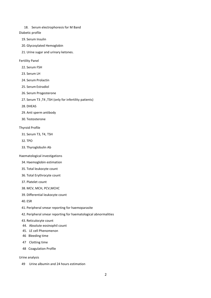18. Serum electrophoresis for M Band

#### Diabetic profile

- 19. Serum Insulin
- 20. Glycosylated Hemoglobin
- 21. Urine sugar and urinary ketones.
- Fertility Panel
	- 22. Serum FSH
	- 23. Serum LH
	- 24. Serum Prolactin
	- 25. Serum Estradiol
	- 26. Serum Progesterone
	- 27. Serum T3 ,T4 ,TSH (only for infertility patients)
	- 28. DHEAS
	- 29. Anti sperm antibody
	- 30. Testosterone

#### Thyroid Profile

- 31. Serum T3, T4, TSH
- 32. TPO
- 33. Thyroglobulin Ab

#### Haematological investigations

- 34. Haemoglobin estimation
- 35. Total leukocyte count
- 36. Total Erythrocyte count
- 37. Platelet count
- 38. MCV, MCH, PCV,MCHC
- 39. Differential leukocyte count
- 40. ESR
- 41. Peripheral smear reporting for haemoparasite
- 42. Peripheral smear reporting for haematological abnormalities
- 43. Reticulocyte count
- 44. Absolute eosinophil count
- 45. LE cell Phenomenon
- 46 Bleeding time
- 47 Clotting time
- 48 Coagulation Profile

#### Urine analysis

49 Urine albumin and 24 hours estimation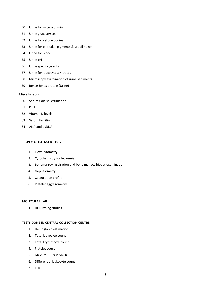- 50 Urine for microalbumin
- 51 Urine glucose/sugar
- 52 Urine for ketone bodies
- 53 Urine for bile salts, pigments & urobilinogen
- 54 Urine for blood
- 55 Urine pH
- 56 Urine specific gravity
- 57 Urine for leucocytes/Nitrates
- 58 Microscopy examination of urine sediments
- 59 Bence Jones protein (Urine)

#### Miscellaneous

- 60 Serum Cortisol estimation
- 61 PTH
- 62 Vitamin D levels
- 63 Serum Ferritin
- 64 ANA and dsDNA

#### **SPECIAL HAEMATOLOGY**

- 1. Flow Cytometry
- 2. Cytochemistry for leukemia
- 3. Bonemarrow aspiration and bone marrow biopsy examination
- 4. Nephelometry
- 5. Coagulation profile
- **6.** Platelet aggregometry

#### **MOLECULAR LAB**

1. HLA Typing studies

#### **TESTS DONE IN CENTRAL COLLECTION CENTRE**

- 1. Hemoglobin estimation
- 2. Total leukocyte count
- 3. Total Erythrocyte count
- 4. Platelet count
- 5. MCV, MCH, PCV,MCHC
- 6. Differential leukocyte count
- 7. ESR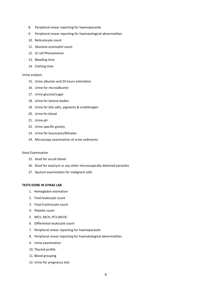- 8. Peripheral smear reporting for haemoparasite
- 9. Peripheral smear reporting for haematological abnormalities
- 10. Reticulocyte count
- 11. Absolute eosinophil count
- 12. LE cell Phenomenon
- 13. Bleeding time
- 14. Clotting time

#### Urine analysis

- 15. Urine albumin and 24 hours estimation
- 16. Urine for microalbumin
- 17. Urine glucose/sugar
- 18. Urine for ketone bodies
- 19. Urine for bile salts, pigments & urobilinogen
- 20. Urine for blood
- 21. Urine pH
- 22. Urine specific gravity
- 23. Urine for leucocytes/Nitrates
- 24. Microscopy examination of urine sediments

#### Stool Examination

- 25. Stool for occult blood
- 26. Stool for ova/cyst or any other microscopically detected parasites
- 27. Sputum examination for malignant cells

#### **TESTS DONE IN GYNAE LAB**

- 1. Hemoglobin estimation
- 2. Total leukocyte count
- 3. Total Erythrocyte count
- 4. Platelet count
- 5. MCV, MCH, PCV,MCHC
- 6. Differential leukocyte count
- 7. Peripheral smear reporting for haemoparasite
- 8. Peripheral smear reporting for haematological abnormalities
- 9. Urine examination
- 10. Thyroid profile
- 11. Blood grouping
- 12. Urine for pregnancy test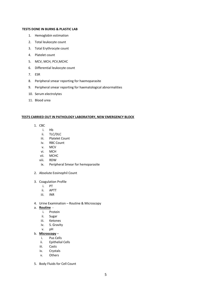### **TESTS DONE IN BURNS & PLASTIC LAB**

- 1. Hemoglobin estimation
- 2. Total leukocyte count
- 3. Total Erythrocyte count
- 4. Platelet count
- 5. MCV, MCH, PCV,MCHC
- 6. Differential leukocyte count
- 7. ESR
- 8. Peripheral smear reporting for haemoparasite
- 9. Peripheral smear reporting for haematological abnormalities
- 10. Serum electrolytes
- 11. Blood urea

#### **TESTS CARRIED OUT IN PATHOLOGY LABORATORY, NEW EMERGENCY BLOCK**

- 1. CBC
	- i. Hb
	- ii. TLC/DLC
	- iii. Platelet Count
	- iv. RBC Count
	- v. MCV
	- vi. MCH
	- vii. MCHC
	- viii. RDW
	- ix. Peripheral Smear for hemoparasite
- 2. Absolute Eosinophil Count
- 3. Coagulation Profile
	- i. PT
	- ii. APTT
	- iii. INR
- 4. Urine Examination Routine & Microscopy
- a. **Routine**
	- i. Protein
	- ii. Sugar
	- iii. Ketones
	- iv. S. Gravity
	- v. pH
- b. **Microscopy**
	- i. Pus Cells
	- ii. Epithelial Cells
	- iii. Casts
	- iv. Crystals
	- v. Others
- 5. Body Fluids for Cell Count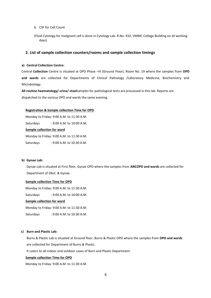6. CSF for Cell Count

(Fluid Cytology for malignant cell is done in Cytology Lab. R.No. 410, VMMC College Building on all working days).

#### **2. List of sample collection counters/rooms and sample collection timings**

#### **a) Central Collection Centre:**

Central **Collection** Centre is situated at OPD Phase –III (Ground Floor), Room No. 19 where the samples from **OPD and wards** are collected for Departments of Clinical Pathology /Laboratory Medicine, Biochemistry and Microbiology.

**All routine haematology/ urine/ stool**samples for pathological tests are processed in this lab. Reports are dispatched to the various OPD and wards the same evening.

#### **Registration & Sample collection Time for OPD**

Monday to Friday: 9:00 A.M. to 11:30 A.M. Saturdays : 9:00 A.M. to 10:00 A.M. **Sample collection for ward** Monday to Friday: 9:00 A.M. to 11:30 A.M. Saturdays : 9:00 A.M. to 10:30 A.M.

#### **b) Gynae Lab:**

Gynae Lab is situated at First floor, Gynae OPD where the samples from **ANCOPD and wards** are collected for Department of Obst. & Gynae.

#### **Sample collection Time for OPD**

Monday to Friday: 9:00 A.M. to 11:30 A.M.

Saturdays : 9:00 A.M. to 10:00 A.M.

### **Sample collection for ward**

Monday to Friday: 9:00 A.M. to 11:30 A.M.

Saturdays : 9:00 A.M. to 10:30 A.M.

#### **c) Burn and Plastic Lab:**

Burns & Plastic Lab is situated at Ground floor, Burns & Plastic OPD where the samples from **OPD and wards** are collected for Department of Burns & Plastic.

It caters to all indoor and outdoor cases of Burn and Plastic Department

#### **Sample collection Time for OPD**

Monday to Friday: 9:00 A.M. to 11:30 A.M.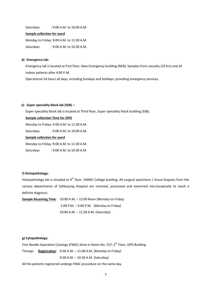Saturdays : 9:00 A.M. to 10:00 A.M.

#### **Sample collection for ward**

Monday to Friday: 9:00 A.M. to 11:30 A.M.

Saturdays : 9:00 A.M. to 10:30 A.M.

#### **d) Emergency lab:**

Emergency lab is located at First floor, New Emergency building (NEB). Samples from casualty (24 hrs) and all indoor patients after 4:00 P.M.

Operational 24 hours all days, including Sundays and holidays, providing emergency services.

#### **e) Super speciality block lab (SSB) –**

Super speciality block lab is located at Third floor, Super speciality block building (SSB).

#### **Sample collection Time for OPD**

Monday to Friday: 9:00 A.M. to 11:30 A.M.

Saturdays : 9:00 A.M. to 10:00 A.M.

### **Sample collection for ward**

Monday to Friday: 9:00 A.M. to 11:30 A.M.

Saturdays : 9:00 A.M. to 10:30 A.M.

### **f) Histopathology:**

Histopathology lab is situated at  $4^{th}$  floor, VMMC College building. All surgical specimens / tissue biopsies from the various departments of Safdarjung Hospital are received, processed and examined microscopically to reach a definite diagnosis.

**Sample Receiving Time** : 10:00 A.M. – 12:00 Noon (Monday to Friday) 2:00 P.M. – 3:00 P.M. (Monday to Friday) 10:00 A.M. – 11:30 A.M. (Saturday)

#### **g) Cytopathology:**

Fine Needle Aspiration Cytology (FNAC) done in Room No. 557, 5<sup>th</sup> Floor, OPD Building

Timings: **Registration**: 9:30 A.M. – 11:00 A.M. (Monday to Friday)

9:30 A.M. – 10:30 A.M. (Saturday)

All the patients registered undergo FNAC procedure on the same day.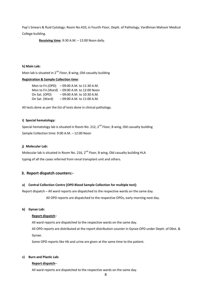Pap's Smears & fluid Cytology: Room No.410, in Fourth Floor, Deptt. of Pathology, Vardhman Mahavir Medical

College building.

**Receiving time**: 9:30 A.M. – 12:00 Noon daily.

#### **h) Main Lab:**

Main lab is situated in  $2^{nd}$  Floor, B wing, Old casualty building

# **Registration & Sample Collection time**:

|                | Mon to Fri.(OPD) - 09:00 A.M. to 11:30 A.M.    |
|----------------|------------------------------------------------|
|                | Mon to Fri. (Ward) $-09:00$ A.M. to 12:00 Noon |
| On Sat. (OPD)  | $-09:00$ A.M. to 10:30 A.M.                    |
| On Sat. (Ward) | $-09:00$ A.M. to 11:00 A.M.                    |

All tests done as per the list of tests done in clinical pathology.

#### **i) Special hematology:**

Special hematology lab is situated in Room No. 212,  $2^{nd}$  Floor, B wing, Old casualty building Sample Collection time: 9:00 A.M. – 12:00 Noon

#### **j) Molecular Lab:**

Molecular lab is situated in Room No. 216, 2<sup>nd</sup> Floor, B wing, Old casualty building HLA typing of all the cases referred from renal transplant unit and others.

### **3. Report dispatch counters:-**

#### **a) Central Collection Centre [OPD Blood Sample Collection for multiple test]:**

Report dispatch – All ward reports are dispatched to the respective wards on the same day.

All OPD reports are dispatched to the respective OPDs, early morning next day.

#### **b) Gynae Lab:**

#### **Report dispatch**–

All ward reports are dispatched to the respective wards on the same day.

All OPD reports are distributed at the report distribution counter in Gynae OPD under Deptt. of Obst. & Gynae.

Some OPD reports like Hb and urine are given at the same time to the patient.

#### **c) Burn and Plastic Lab:**

#### **Report dispatch**–

All ward reports are dispatched to the respective wards on the same day.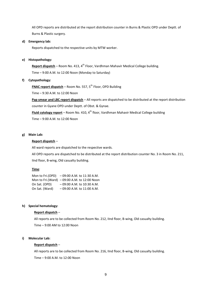All OPD reports are distributed at the report distribution counter in Burns & Plastic OPD under Deptt. of Burns & Plastic surgery.

#### **d) Emergency lab:**

Reports dispatched to the respective units by MTW worker.

#### **e) Histopathology:**

**Report dispatch** – Room No. 413, 4<sup>th</sup> Floor, Vardhman Mahavir Medical College building. Time – 9:00 A.M. to 12:00 Noon (Monday to Saturday)

#### **f) Cytopathology:**

**FNAC report dispatch** – Room No. 557, 5<sup>th</sup> Floor, OPD Building

Time – 9:30 A.M. to 12:00 Noon

**Pap smear and LBC report dispatch** – All reports are dispatched to be distributed at the report distribution counter in Gyane OPD under Deptt. of Obst. & Gynae.

**Fluid cytology report** – Room No. 410, 4<sup>th</sup> floor, Vardhman Mahavir Medical College building

Time – 9:00 A.M. to 12:00 Noon

#### **g) Main Lab:**

#### **Report dispatch** –

All ward reports are dispatched to the respective wards.

All OPD reports are dispatched to be distributed at the report distribution counter No. 3 in Room No. 211, IInd floor, B-wing, Old casualty building.

#### **Time**:

Mon to Fri.(OPD) – 09:00 A.M. to 11:30 A.M. Mon to Fri.(Ward) – 09:00 A.M. to 12:00 Noon On Sat. (OPD) – 09:00 A.M. to 10:30 A.M. On Sat. (Ward) – 09:00 A.M. to 11:00 A.M.

#### **h) Special hematology:**

#### **Report dispatch** –

All reports are to be collected from Room No. 212, IInd floor, B-wing, Old casualty building.

Time – 9:00 AM to 12:00 Noon

#### **i) Molecular Lab:**

#### **Report dispatch** –

All reports are to be collected from Room No. 216, IInd floor, B-wing, Old casualty building.

Time – 9:00 A.M. to 12:00 Noon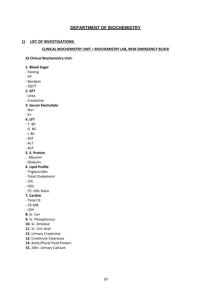# **DEPARTMENT OF BIOCHEMISTRY**

# **1) LIST OF INVESTIGATIONS:**

### **CLINICAL BIOCHEMISTRY UNIT + BIOCHEMISTRY LAB, NEW EMERGENCY BLOCK**

**A) Clinical Biochemistry Unit:**

- **1. Blood Sugar**
- Fasting
- PP
- Random
- OGTT
- **2. KFT**
- Urea
- Creatinine
- **3. Serum Electrolyte**
- Na+
- K+
- **4. LFT**
- T. Bil
- D. Bil
- I. Bil
- AST
- ALT
- ALP
- **5. S. Protein**
- Albumin
- Globulin
- **6. Lipid Profile**
- Triglycerides
- Total Cholesterol
- LDL
- HDL
- TC: HDL Ratio
- **7. Cardiac**
- Total CK
- CK-MB
- LDH

**8.** Sr. Ca+

- **9.** Sr. Phosphorous
- **10.** Sr. Amylase
- **11.** Sr. Uric Acid
- **12.** Urinary Creatinine
- **13.** Creatinine Clearance
- **14.** Asitic/Plural Fluid Protein
- **15.** 24hr. Urinary Calcium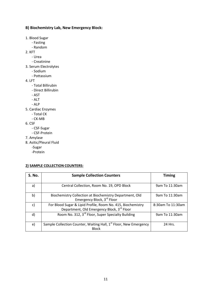# **B) Biochemistry Lab, New Emergency Block:**

- 1. Blood Sugar
	- Fasting
	- Random
- 2. KFT
	- Urea
	- Creatinine
- 3. Serum Electrolytes
	- Sodium
	- Pottassium
- 4. LFT
	- Total Billirubin
	- Direct Billirubin
	- AST
	- ALT
	- ALP
- 5. Cardiac Enzymes
	- Total CK
	- CK-MB
- 6. CSF
	- CSF-Sugar
	- CSF-Protein
- 7. Amylase
- 8. Asitic/Pleural Fluid
	- -Sugar
	- -Protein

# **2) SAMPLE COLLECTION COUNTERS:**

| S. No. | <b>Sample Collection Counters</b>                                                                         | <b>Timing</b>     |
|--------|-----------------------------------------------------------------------------------------------------------|-------------------|
| a)     | Central Collection, Room No. 19, OPD Block                                                                | 9am To 11:30am    |
| b)     | Biochemistry Collection at Biochemistry Department, Old<br>Emergency Block, 3rd Floor                     | 9am To 11:30am    |
| C)     | For Blood Sugar & Lipid Profile, Room No. 415, Biochemistry<br>Department, Old Emergency Block, 3rd Floor | 8:30am To 11:30am |
| d)     | Room No. 312, 3 <sup>rd</sup> Floor, Super Specialty Building                                             | 9am To 11:30am    |
| e)     | Sample Collection Counter, Waiting Hall, 1 <sup>st</sup> Floor, New Emergency<br><b>Block</b>             | 24 Hrs.           |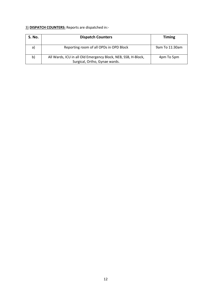# 3) **DISPATCH COUNTERS:** Reports are dispatched in:-

| S. No. | <b>Dispatch Counters</b>                                                                       | <b>Timing</b>  |
|--------|------------------------------------------------------------------------------------------------|----------------|
| a)     | Reporting room of all OPDs in OPD Block                                                        | 9am To 11:30am |
| b)     | All Wards, ICU in all Old Emergency Block, NEB, SSB, H-Block,<br>Surgical, Ortho, Gynae wards. | 4pm To 5pm     |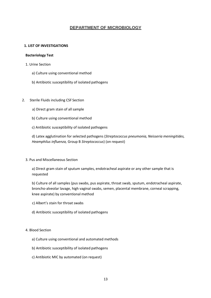# **DEPARTMENT OF MICROBIOLOGY**

## **1. LIST OF INVESTIGATIONS**

### **Bacteriology Test**

- 1. Urine Section
	- a) Culture using conventional method
	- b) Antibiotic susceptibility of isolated pathogens
- 2. Sterile Fluids including CSF Section
	- a) Direct gram stain of all sample
	- b) Culture using conventional method
	- c) Antibiotic susceptibility of isolated pathogens

d) Latex agglutination for selected pathogens (*Streptococcus pneumonia, Neisseria meningitides, Heamphilus influenza,* Group B *Streptococcus*) (on request)

### 3. Pus and Miscellaneous Section

a) Direct gram stain of sputum samples, endotracheal aspirate or any other sample that is requested

b) Culture of all samples (pus swabs, pus aspirate, throat swab, sputum, endotracheal aspirate, broncho-alveolar lavage, high vaginal swabs, semen, placental membrane, corneal scrapping, knee aspirate) by conventional method

- c) Albert's stain for throat swabs
- d) Antibiotic susceptibility of isolated pathogens

### 4. Blood Section

- a) Culture using conventional and automated methods
- b) Antibiotic susceptibility of isolated pathogens
- c) Antibiotic MIC by automated (on request)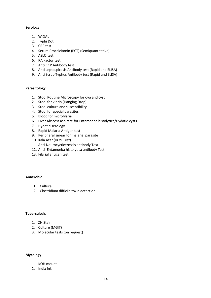# **Serology**

- 1. WIDAL
- 2. Typhi Dot
- 3. CRP test
- 4. Serum Procalcitonin (PCT) (Semiquantitative)
- 5. ASLO test
- 6. RA Factor test
- 7. Anti CCP Antibody test
- 8. Anti Leptospirosis Antibody test (Rapid and ELISA)
- 9. Anti Scrub Typhus Antibody test (Rapid and ELISA)

### **Parasitology**

- 1. Stool Routine Microscopy for ova and cyst
- 2. Stool for vibrio (Hanging Drop)
- 3. Stool culture and susceptibility
- 4. Stool for special parasites
- 5. Blood for microfilaria
- 6. Liver Abscess aspirate for Entamoeba histolytica/Hydatid cysts
- 7. Hydatid serology
- 8. Rapid Malaria Antigen test
- 9. Peripheral smear for malarial parasite
- 10. Kala Azar (rK39 Test)
- 11. Anti-Neurocycticercosis antibody Test
- 12. Anti- Entamoeba histolytica antibody Test
- 13. Filarial antigen test

# **Anaerobic**

- 1. Culture
- 2. Clostridium difficile toxin detection

## **Tuberculosis**

- 1. ZN Stain
- 2. Culture (MGIT)
- 3. Molecular tests (on request)

# **Mycology**

- 1. KOH mount
- 2. India ink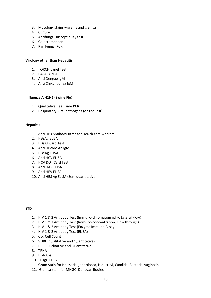- 3. Mycology stains grams and giemsa
- 4. Culture
- 5. Antifungal susceptibility test
- 6. Galactomannan
- 7. Pan Fungal PCR

# **Virology other than Hepatitis**

- 1. TORCH panel Test
- 2. Dengue NS1
- 3. Anti Dengue IgM
- 4. Anti Chikungunya IgM

### **Influenza A H1N1 (Swine Flu)**

- 1. Qualitative Real Time PCR
- 2. Respiratory Viral pathogens (on request)

### **Hepatitis**

- 1. Anti HBs Antibody titres for Health care workers
- 2. HBsAg ELISA
- 3. HBsAg Card Test
- 4. Anti HBcore Ab IgM
- 5. HBeAg ELISA
- 6. Anti HCV ELISA
- 7. HCV DOT Card Test
- 8. Anti HAV ELISA
- 9. Anti HEV ELISA
- 10. Anti HBS Ag ELISA (Semiquantitative)

# **STD**

- 1. HIV 1 & 2 Antibody Test (Immuno-chromatography, Lateral Flow)
- 2. HIV 1 & 2 Antibody Test (Immuno-concentration, Flow through)
- 3. HIV 1 & 2 Antibody Test (Enzyme Immuno Assay)
- 4. HIV 1 & 2 Antibody Test (ELISA)
- 5. CD<sub>4</sub> Cell Count
- 6. VDRL (Qualitative and Quantitative)
- 7. RPR (Qualitative and Quantitative)
- 8. TPHA
- 9. FTA-Abs
- 10. TP IgG ELISA
- 11. Gram Stain for Neisseria gonorrhoea, H ducreyi, Candida, Bacterial vaginosis
- 12. Giemsa stain for MNGC, Donovan Bodies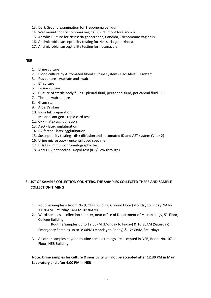- 13. Dark Ground examination for Treponema pallidum
- 14. Wet mount for Trichomonas vaginalis, KOH mont for Candida
- 15. Aerobic Culture for Neisseria gonorrhoea, Candida, Trichomonas vaginalis
- 16. Antimicrobial susceptibility testing for Neisseria gonorrhoea
- 17. Antimicrobial susceptibility testing for fluconazole

# **NEB**

- 1. Urine culture
- 2. Blood culture by Automated blood culture system BacTAlert 3D system
- 3. Pus culture Aspirate and swab
- 4. ET culture
- 5. Tissue culture
- 6. Culture of sterile body fluids pleural fluid, peritoneal fluid, pericardial fluid, CSF
- 7. Throat swab culture
- 8. Gram stain
- 9. Albert's stain
- 10. India Ink preparation
- 11. Malarial antigen rapid card test
- 12. CRP latex agglutination
- 13. ASO latex agglutination
- 14. RA factor latex agglutination
- 15. Susceptibility testing disk diffusion and automated ID and AST system (Vitek 2)
- 16. Urine microscopy uncentrifuged specimen
- 17. HBsAg Immunochromatographic test
- 18. Anti-HCV antibodies Rapid test (ICT/Flow through)

# **2. LIST OF SAMPLE COLLECTION COUNTERS, THE SAMPLES COLLECTED THERE AND SAMPLE COLLECTION TIMING**

- 1. Routine samples Room No 9, OPD Building, Ground Floor (Monday to Friday: 9AM-11:30AM, Saturday 9AM to 10:30AM)
- 2. Ward samples collection counter, near office of Department of Microbiology,  $5^{th}$  Floor, College Building

Routine Samples up to 12:00PM (Monday to Friday) & 10:30AM (Saturday) Emergency Samples up to 3:30PM (Monday to Friday) & 12:30AM(Saturday)

3. All other samples beyond routine sample timings are accepted in NEB, Room No.107,  $1^{st}$ Floor, NEB Building.

# **Note: Urine samples for culture & sensitivity will not be accepted after 12:30 PM in Main Laboratory and after 4.00 PM in NEB**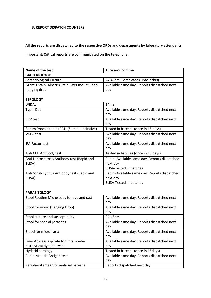# **3. REPORT DISPATCH COUNTERS**

**All the reports are dispatched to the respective OPDs and departments by laboratory attendants.** 

# **Important/Critical reports are communicated on the telephone**

| Name of the test                               | <b>Turn around time</b>                            |
|------------------------------------------------|----------------------------------------------------|
| <b>BACTERIOLOGY</b>                            |                                                    |
| <b>Bacteriological Culture</b>                 | 24-48hrs (Some cases upto 72hrs)                   |
| Gram's Stain, Albert's Stain, Wet mount, Stool | Available same day. Reports dispatched next        |
| hanging drop                                   | day                                                |
|                                                |                                                    |
| <b>SEROLOGY</b>                                |                                                    |
| <b>WIDAL</b>                                   | 24hrs                                              |
| Typhi Dot                                      | Available same day. Reports dispatched next<br>day |
| <b>CRP</b> test                                | Available same day. Reports dispatched next<br>day |
| Serum Procalcitonin (PCT) (Semiquantitative)   | Tested in batches (once in 15 days)                |
| ASLO test                                      | Available same day. Reports dispatched next<br>day |
| RA Factor test                                 | Available same day. Reports dispatched next<br>day |
| Anti CCP Antibody test                         | Tested in batches (once in 15 days)                |
| Anti Leptospirosis Antibody test (Rapid and    | Rapid- Available same day. Reports dispatched      |
| ELISA)                                         | next day                                           |
|                                                | <b>ELISA-Tested in batches</b>                     |
| Anti Scrub Typhus Antibody test (Rapid and     | Rapid- Available same day. Reports dispatched      |
| ELISA)                                         | next day                                           |
|                                                | <b>ELISA-Tested in batches</b>                     |
|                                                |                                                    |
| <b>PARASITOLOGY</b>                            |                                                    |
| Stool Routine Microscopy for ova and cyst      | Available same day. Reports dispatched next<br>day |
| Stool for vibrio (Hanging Drop)                | Available same day. Reports dispatched next        |
|                                                | day                                                |
| Stool culture and susceptibility               | 24-48hrs                                           |
| Stool for special parasites                    | Available same day. Reports dispatched next<br>day |
| <b>Blood for microfilaria</b>                  | Available same day. Reports dispatched next<br>day |
| Liver Abscess aspirate for Entamoeba           | Available same day. Reports dispatched next        |
| histolytica/Hydatid cysts                      | day                                                |
| Hydatid serology                               | Tested in batches (once in 15days)                 |
| Rapid Malaria Antigen test                     | Available same day. Reports dispatched next<br>day |
| Peripheral smear for malarial parasite         | Reports dispatched next day                        |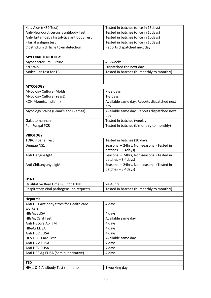| Kala Azar (rK39 Test)                     | Tested in batches (once in 15days)          |  |
|-------------------------------------------|---------------------------------------------|--|
| Anti-Neurocycticercosis antibody Test     | Tested in batches (once in 15days)          |  |
| Anti- Entamoeba histolytica antibody Test | Tested in batches (once in 10days)          |  |
| Filarial antigen test                     | Tested in batches (once in 15days)          |  |
| Clostridium difficile toxin detection     | Reports dispatched next day                 |  |
|                                           |                                             |  |
| <b>MYCOBACTERIOLOGY</b>                   |                                             |  |
| Mycobacterium Culture                     | 4-6 weeks                                   |  |
| ZN Stain                                  | Dispatched the next day.                    |  |
| <b>Molecular Test for TB</b>              | Tested in batches (bi-monthly to monthly)   |  |
|                                           |                                             |  |
|                                           |                                             |  |
| <b>MYCOLOGY</b>                           |                                             |  |
| Mycology Culture (Molds)                  | $7-28$ days                                 |  |
| Mycology Culture (Yeast)                  | 1-3 days                                    |  |
| KOH Mounts, India Ink                     | Available same day. Reports dispatched next |  |
|                                           | day                                         |  |
| Mycology Stains (Gram's and Giemsa)       | Available same day. Reports dispatched next |  |
|                                           | day                                         |  |
| Galactomannan                             | Tested in batches (weekly)                  |  |
| Pan Fungal PCR                            | Tested in batches (bimonthly to monthly)    |  |
|                                           |                                             |  |
| <b>VIROLOGY</b>                           |                                             |  |
| <b>TORCH panel Test</b>                   | Tested in batches (10 days)                 |  |
| Dengue NS1                                | Seasonal - 24hrs, Non-seasonal (Tested in   |  |
|                                           | $batches - 3-4days)$                        |  |
| Anti Dengue IgM                           | Seasonal - 24hrs, Non-seasonal (Tested in   |  |
|                                           | batches - 3-4 days)                         |  |
| Anti Chikungunya IgM                      | Seasonal - 24hrs, Non-seasonal (Tested in   |  |
|                                           | $batches - 3-4days)$                        |  |
|                                           |                                             |  |
| <b>H1N1</b>                               |                                             |  |
| Qualitative Real Time PCR for H1N1        | 24-48hrs                                    |  |
| Respiratory Viral pathogens (on request)  | Tested in batches (bi-monthly to monthly)   |  |
|                                           |                                             |  |
| <b>Hepatitis</b>                          |                                             |  |
| Anti HBs Antibody titres for Health care  | 4 days                                      |  |
| workers                                   |                                             |  |
| <b>HBsAg ELISA</b>                        | 4 days                                      |  |
| <b>HBsAg Card Test</b>                    | Available same day                          |  |
| Anti HBcore Ab IgM                        | 4 days                                      |  |
| <b>HBeAg ELISA</b>                        | 4 days                                      |  |
| Anti HCV ELISA                            | 4 days                                      |  |
| <b>HCV DOT Card Test</b>                  | Available same day                          |  |
| Anti HAV ELISA                            | 7 days                                      |  |
| Anti HEV ELISA                            | 7 days                                      |  |
| Anti HBS Ag ELISA (Semiquantitative)      | 4 days                                      |  |
|                                           |                                             |  |
| <b>STD</b>                                |                                             |  |
| HIV 1 & 2 Antibody Test (Immuno-          | 1 working day                               |  |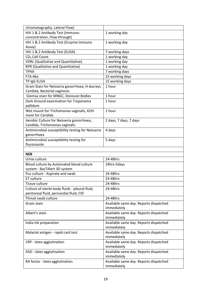| chromatography, Lateral Flow)                      |                                                       |
|----------------------------------------------------|-------------------------------------------------------|
| HIV 1 & 2 Antibody Test (Immuno-                   | 1 working day                                         |
| concentration, Flow through)                       |                                                       |
| HIV 1 & 2 Antibody Test (Enzyme Immuno             | 1 working day                                         |
| Assay)                                             |                                                       |
| HIV 1 & 2 Antibody Test (ELISA)                    | 7 working days                                        |
| CD <sub>4</sub> Cell Count                         | 1 working day                                         |
| <b>VDRL (Qualitative and Quantitative)</b>         | 1 working day                                         |
| RPR (Qualitative and Quantitative)                 | 1 working day                                         |
| <b>TPHA</b>                                        | 7 working days                                        |
| FTA-Abs                                            | 15 working days                                       |
| TP IgG ELISA                                       | 15 working days                                       |
| Gram Stain for Neisseria gonorrhoea, H ducreyi,    | 1 hour                                                |
| Candida, Bacterial vaginosis                       |                                                       |
| Giemsa stain for MNGC, Donovan Bodies              | 1 hour                                                |
| Dark Ground examination for Treponema              | 1 hour                                                |
| pallidum                                           |                                                       |
| Wet mount for Trichomonas vaginalis, KOH           | 1 hour                                                |
| mont for Candida                                   |                                                       |
| Aerobic Culture for Neisseria gonorrhoea,          | 2 days, 7 days, 7 days                                |
| Candida, Trichomonas vaginalis                     |                                                       |
| Antimicrobial susceptibility testing for Neisseria | 4 days                                                |
| gonorrhoea                                         |                                                       |
| Antimicrobial susceptibility testing for           | 5 days                                                |
| fluconazole                                        |                                                       |
|                                                    |                                                       |
|                                                    |                                                       |
| <b>NEB</b>                                         |                                                       |
| Urine culture                                      | 24-48hrs                                              |
| Blood culture by Automated blood culture           | 24hrs-5days                                           |
| system - BacTAlert 3D system                       |                                                       |
| Pus culture - Aspirate and swab                    | 24-48hrs                                              |
| ET culture                                         | 24-48hrs                                              |
| Tissue culture                                     | 24-48hrs                                              |
| Culture of sterile body fluids - pleural fluid,    | 24-48hrs                                              |
| peritoneal fluid, pericardial fluid, CSF           |                                                       |
| Throat swab culture                                | 24-48hrs                                              |
| Gram stain                                         | Available same day. Reports dispatched                |
|                                                    | immediately                                           |
| Albert's stain                                     | Available same day. Reports dispatched                |
|                                                    | immediately                                           |
| India Ink preparation                              | Available same day. Reports dispatched                |
|                                                    | immediately                                           |
| Malarial antigen - rapid card test                 | Available same day. Reports dispatched                |
|                                                    | immediately                                           |
| CRP - latex agglutination                          | Available same day. Reports dispatched                |
|                                                    | immediately                                           |
| ASO - latex agglutination                          | Available same day. Reports dispatched                |
|                                                    | immediately                                           |
| RA factor - latex agglutination                    | Available same day. Reports dispatched<br>immediately |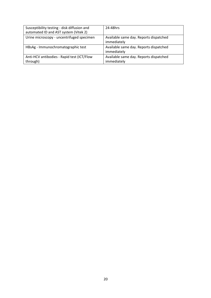| Susceptibility testing - disk diffusion and<br>automated ID and AST system (Vitek 2) | 24-48hrs                                              |
|--------------------------------------------------------------------------------------|-------------------------------------------------------|
| Urine microscopy - uncentrifuged specimen                                            | Available same day. Reports dispatched<br>immediately |
| HBsAg - Immunochromatographic test                                                   | Available same day. Reports dispatched<br>immediately |
| Anti-HCV antibodies - Rapid test (ICT/Flow<br>through)                               | Available same day. Reports dispatched<br>immediately |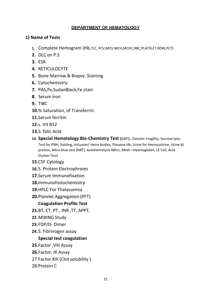# **DEPARTMENT OF HEMATOLOGY**

# **1) Name of Tests**

- **1.** Complete Hemogram (Hb,TLC, PCV,MCV,MCH,MCHC,RBC,PLATELET,RDW,PCT)
- **2.** DLC on P.S
- **3.** ESR
- **4.** RETICULOCYTE
- **5.** Bone Marrow & Biopsy Staining
- **6.** Cytochemistry:
- **7.** PAS,Px,SudanBlack,Fe.stain
- **8.** Serum Iron
- **9.** TIBC
- **10.**% Saturation, of Transferrin
- **11.**Serum ferritin
- **12.**s. Vit B12
- **13.**S. folic Acid
- **14. Special Hematology Bio-Chemistry Test (**G6PD, Osmotic Fragility, Sucrose lysis Test for PNH, Sickling, Inclusion/ Heinz bodies, Plasama Hb, Urine for Hemocydrine, Urine BJ protein, Nitro-blue test (NBT), Autohemolysis 48hrs, Meth –Haemoglobin, LE Cell, Acid Elution Test)
- **15.**CSF Cytology
- **16.**S. Protein Electrophroies
- **17.**Serum Immunofixation
- **18.**Immunohistochemistry
- **19.**HPLC For Thalassemia
- **20.**Platelet Aggregation (PFT)

# **Coagulation Profile Test**

- **21.**BT, CT, PT , INR ,TT, APPT,
- **22.**MIXING Study
- **23.**FDP/D- Dimer
- **24.**S. Fibrinogen assay

# **Special test coagulation**

- **25.**Factor ,VIII Assay
- **26.**Factor, IX Assay
- 27.Factor XIII (Clot solubility )
- 28.Protein C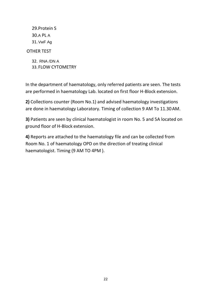29.Protein S 30.A PL A 31.VwF Ag OTHER TEST

> 32. RNA /DN A 33. FLOW CYTOMETRY

In the department of haematology, only referred patients are seen. The tests are performed in haematology Lab. located on first floor H-Block extension.

**2)** Collections counter (Room No.1) and advised haematology investigations are done in haematology Laboratory. Timing of collection 9 AM To 11.30AM.

**3)** Patients are seen by clinical haematologist in room No. 5 and 5A located on ground floor of H-Block extension.

**4)** Reports are attached to the haematology file and can be collected from Room No. 1 of haematology OPD on the direction of treating clinical haematologist. Timing (9 AM TO 4PM ).